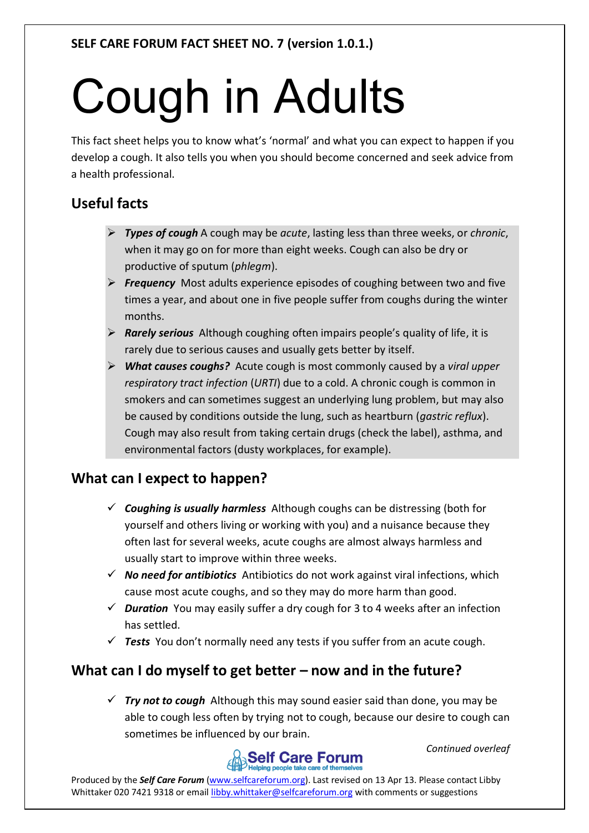# Cough in Adults

This fact sheet helps you to know what's 'normal' and what you can expect to happen if you develop a cough. It also tells you when you should become concerned and seek advice from a health professional.

## **Useful facts**

- *Types of cough* A cough may be *acute*, lasting less than three weeks, or *chronic*, when it may go on for more than eight weeks. Cough can also be dry or productive of sputum (*phlegm*).
- *Frequency* Most adults experience episodes of coughing between two and five times a year, and about one in five people suffer from coughs during the winter months.
- *Rarely serious* Although coughing often impairs people's quality of life, it is rarely due to serious causes and usually gets better by itself.
- *What causes coughs?* Acute cough is most commonly caused by a *viral upper respiratory tract infection* (*URTI*) due to a cold. A chronic cough is common in smokers and can sometimes suggest an underlying lung problem, but may also be caused by conditions outside the lung, such as heartburn (*gastric reflux*). Cough may also result from taking certain drugs (check the label), asthma, and environmental factors (dusty workplaces, for example).

### **What can I expect to happen?**

- *Coughing is usually harmless* Although coughs can be distressing (both for yourself and others living or working with you) and a nuisance because they often last for several weeks, acute coughs are almost always harmless and usually start to improve within three weeks.
- *No need for antibiotics* Antibiotics do not work against viral infections, which cause most acute coughs, and so they may do more harm than good.
- *Duration* You may easily suffer a dry cough for 3 to 4 weeks after an infection has settled.
- *Tests* You don't normally need any tests if you suffer from an acute cough.

### **What can I do myself to get better – now and in the future?**

 *Try not to cough* Although this may sound easier said than done, you may be able to cough less often by trying not to cough, because our desire to cough can sometimes be influenced by our brain.



*Continued overleaf*

Produced by the *Self Care Forum* (www.selfcareforum.org). Last revised on 13 Apr 13. Please contact Libby Whittaker 020 7421 9318 or email libby.whittaker@selfcareforum.org with comments or suggestions